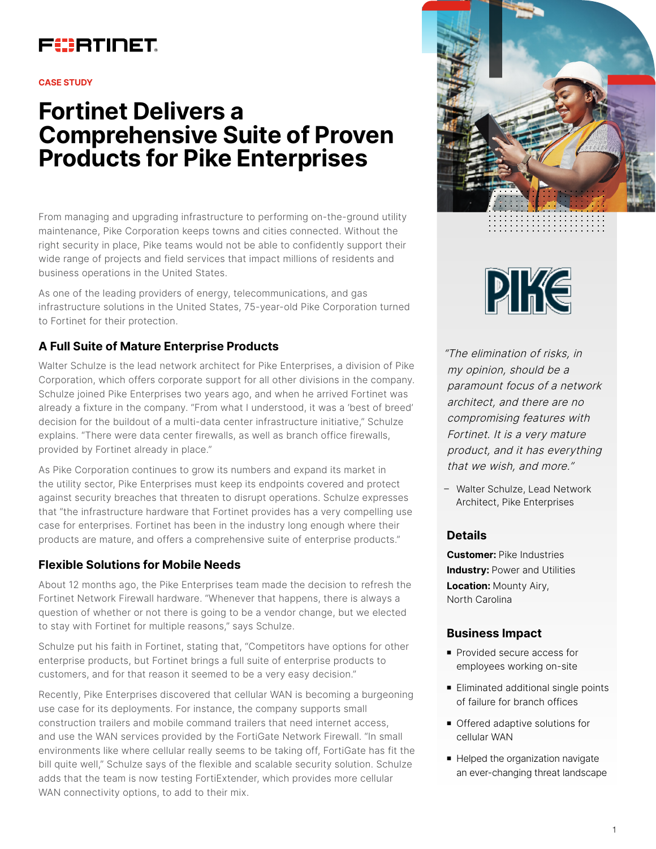## FURTINET

#### **CASE STUDY**

# **Fortinet Delivers a Comprehensive Suite of Proven Products for Pike Enterprises**

From managing and upgrading infrastructure to performing on-the-ground utility maintenance, Pike Corporation keeps towns and cities connected. Without the right security in place, Pike teams would not be able to confidently support their wide range of projects and field services that impact millions of residents and business operations in the United States.

As one of the leading providers of energy, telecommunications, and gas infrastructure solutions in the United States, 75-year-old Pike Corporation turned to Fortinet for their protection.

### **A Full Suite of Mature Enterprise Products**

Walter Schulze is the lead network architect for Pike Enterprises, a division of Pike Corporation, which offers corporate support for all other divisions in the company. Schulze joined Pike Enterprises two years ago, and when he arrived Fortinet was already a fixture in the company. "From what I understood, it was a 'best of breed' decision for the buildout of a multi-data center infrastructure initiative," Schulze explains. "There were data center firewalls, as well as branch office firewalls, provided by Fortinet already in place."

As Pike Corporation continues to grow its numbers and expand its market in the utility sector, Pike Enterprises must keep its endpoints covered and protect against security breaches that threaten to disrupt operations. Schulze expresses that "the infrastructure hardware that Fortinet provides has a very compelling use case for enterprises. Fortinet has been in the industry long enough where their products are mature, and offers a comprehensive suite of enterprise products."

#### **Flexible Solutions for Mobile Needs**

About 12 months ago, the Pike Enterprises team made the decision to refresh the Fortinet Network Firewall hardware. "Whenever that happens, there is always a question of whether or not there is going to be a vendor change, but we elected to stay with Fortinet for multiple reasons," says Schulze.

Schulze put his faith in Fortinet, stating that, "Competitors have options for other enterprise products, but Fortinet brings a full suite of enterprise products to customers, and for that reason it seemed to be a very easy decision."

Recently, Pike Enterprises discovered that cellular WAN is becoming a burgeoning use case for its deployments. For instance, the company supports small construction trailers and mobile command trailers that need internet access, and use the WAN services provided by the FortiGate Network Firewall. "In small environments like where cellular really seems to be taking off, FortiGate has fit the bill quite well," Schulze says of the flexible and scalable security solution. Schulze adds that the team is now testing FortiExtender, which provides more cellular WAN connectivity options, to add to their mix.





"The elimination of risks, in my opinion, should be a paramount focus of a network architect, and there are no compromising features with Fortinet. It is a very mature product, and it has everything that we wish, and more."

– Walter Schulze, Lead Network Architect, Pike Enterprises

#### **Details**

**Customer:** Pike Industries **Industry: Power and Utilities Location:** Mounty Airy, North Carolina

#### **Business Impact**

- **Provided secure access for** employees working on-site
- Eliminated additional single points of failure for branch offices
- Offered adaptive solutions for cellular WAN
- Helped the organization navigate an ever-changing threat landscape